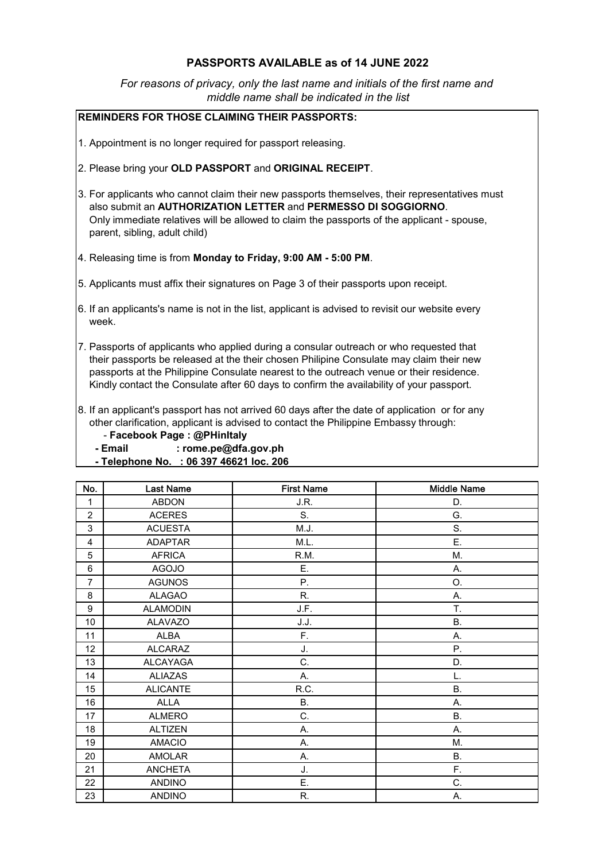## PASSPORTS AVAILABLE as of 14 JUNE 2022

 *middle name shall be indicated in the list For reasons of privacy, only the last name and initials of the first name and*

## REMINDERS FOR THOSE CLAIMING THEIR PASSPORTS:

- 1. Appointment is no longer required for passport releasing.
- 2. Please bring your OLD PASSPORT and ORIGINAL RECEIPT.
- 3. For applicants who cannot claim their new passports themselves, their representatives must also submit an AUTHORIZATION LETTER and PERMESSO DI SOGGIORNO. Only immediate relatives will be allowed to claim the passports of the applicant - spouse, parent, sibling, adult child)
- 4. Releasing time is from Monday to Friday, 9:00 AM 5:00 PM.
- 5. Applicants must affix their signatures on Page 3 of their passports upon receipt.
- 6. If an applicants's name is not in the list, applicant is advised to revisit our website every week.
- 7. Passports of applicants who applied during a consular outreach or who requested that their passports be released at the their chosen Philipine Consulate may claim their new passports at the Philippine Consulate nearest to the outreach venue or their residence. Kindly contact the Consulate after 60 days to confirm the availability of your passport.
- 8. If an applicant's passport has not arrived 60 days after the date of application or for any other clarification, applicant is advised to contact the Philippine Embassy through:
	- Facebook Page : @PHinItaly
	- Email : rome.pe@dfa.gov.ph
	- Telephone No. : 06 397 46621 loc. 206

| No.            | <b>Last Name</b> | <b>First Name</b> | <b>Middle Name</b> |
|----------------|------------------|-------------------|--------------------|
| 1              | <b>ABDON</b>     | J.R.              | D.                 |
| $\overline{c}$ | <b>ACERES</b>    | S.                | G.                 |
| 3              | <b>ACUESTA</b>   | M.J.              | S.                 |
| 4              | <b>ADAPTAR</b>   | M.L.              | Ε.                 |
| 5              | <b>AFRICA</b>    | R.M.              | M.                 |
| $\,6\,$        | <b>AGOJO</b>     | Ε.                | А.                 |
| $\overline{7}$ | <b>AGUNOS</b>    | Ρ.                | O.                 |
| 8              | <b>ALAGAO</b>    | R.                | А.                 |
| 9              | <b>ALAMODIN</b>  | J.F.              | T.                 |
| 10             | <b>ALAVAZO</b>   | J.J.              | Β.                 |
| 11             | <b>ALBA</b>      | F.                | А.                 |
| 12             | <b>ALCARAZ</b>   | J.                | Ρ.                 |
| 13             | <b>ALCAYAGA</b>  | C.                | D.                 |
| 14             | <b>ALIAZAS</b>   | А.                | L.                 |
| 15             | <b>ALICANTE</b>  | R.C.              | <b>B.</b>          |
| 16             | <b>ALLA</b>      | <b>B.</b>         | А.                 |
| 17             | <b>ALMERO</b>    | C.                | <b>B.</b>          |
| 18             | <b>ALTIZEN</b>   | Α.                | А.                 |
| 19             | <b>AMACIO</b>    | А.                | Μ.                 |
| 20             | <b>AMOLAR</b>    | А.                | <b>B.</b>          |
| 21             | <b>ANCHETA</b>   | J.                | F.                 |
| 22             | <b>ANDINO</b>    | Ε.                | C.                 |
| 23             | <b>ANDINO</b>    | R.                | А.                 |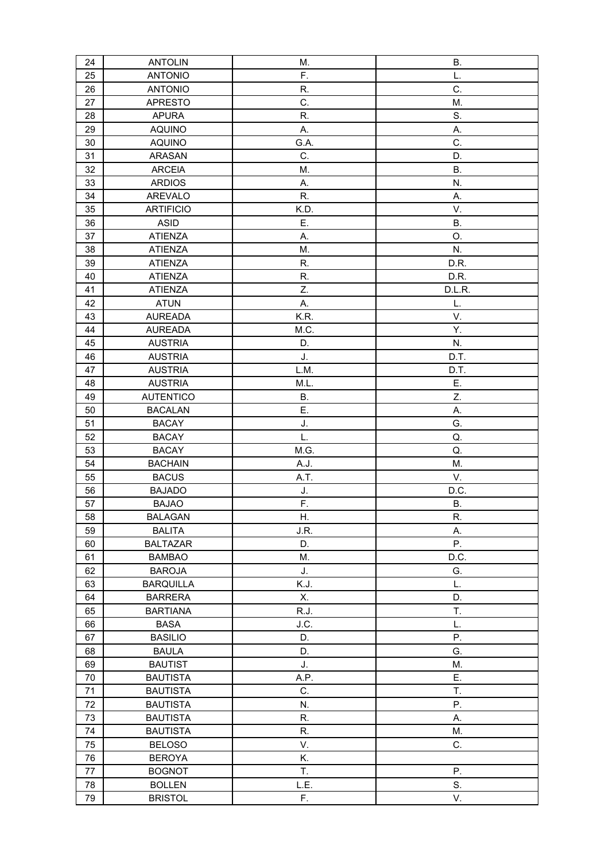| 24       | <b>ANTOLIN</b>                  | M.         | Β.        |
|----------|---------------------------------|------------|-----------|
| 25       | <b>ANTONIO</b>                  | F.         | L.        |
| 26       | <b>ANTONIO</b>                  | R.         | C.        |
| 27       | <b>APRESTO</b>                  | C.         | M.        |
| 28       | <b>APURA</b>                    | R.         | S.        |
| 29       | <b>AQUINO</b>                   | А.         | Α.        |
| 30       | <b>AQUINO</b>                   | G.A.       | C.        |
| 31       | <b>ARASAN</b>                   | C.         | D.        |
| 32       | <b>ARCEIA</b>                   | M.         | <b>B.</b> |
| 33       | <b>ARDIOS</b>                   | А.         | N.        |
| 34       | <b>AREVALO</b>                  | R.         | Α.        |
| 35       | <b>ARTIFICIO</b>                | K.D.       | V.        |
| 36       | <b>ASID</b>                     | Ε.         | <b>B.</b> |
|          |                                 |            |           |
| 37       | <b>ATIENZA</b>                  | Α.         | O.        |
| 38       | <b>ATIENZA</b>                  | М.         | N.        |
| 39       | <b>ATIENZA</b>                  | R.         | D.R.      |
| 40       | <b>ATIENZA</b>                  | R.         | D.R.      |
| 41       | <b>ATIENZA</b>                  | Z.         | D.L.R.    |
| 42       | <b>ATUN</b>                     | Α.         | L.        |
| 43       | <b>AUREADA</b>                  | K.R.       | V.        |
| 44       | <b>AUREADA</b>                  | M.C.       | Υ.        |
| 45       | <b>AUSTRIA</b>                  | D.         | N.        |
| 46       | <b>AUSTRIA</b>                  | J.         | D.T.      |
| 47       | <b>AUSTRIA</b>                  | L.M.       | D.T.      |
| 48       | <b>AUSTRIA</b>                  | M.L.       | E.        |
| 49       | <b>AUTENTICO</b>                | Β.         | Z.        |
| 50       | <b>BACALAN</b>                  | E.         | Α.        |
| 51       | <b>BACAY</b>                    | J.         | G.        |
| 52       | <b>BACAY</b>                    | L.         | Q.        |
| 53       | <b>BACAY</b>                    | M.G.       | Q.        |
| 54       | <b>BACHAIN</b>                  | A.J.       | M.        |
| 55       | <b>BACUS</b>                    | A.T.       | V.        |
| 56       | <b>BAJADO</b>                   | J.         | D.C.      |
| 57       | <b>BAJAO</b>                    | F.         | Β.        |
| 58       | <b>BALAGAN</b>                  | Η.         | R.        |
| 59       | <b>BALITA</b>                   | J.R.       | А.        |
| 60       | <b>BALTAZAR</b>                 | D.         | Ρ.        |
| 61       | <b>BAMBAO</b>                   | M.         | D.C.      |
| 62       | <b>BAROJA</b>                   | J.         | G.        |
| 63       | <b>BARQUILLA</b>                | K.J.       | L.        |
| 64       | <b>BARRERA</b>                  | Χ.         | D.        |
| 65       | <b>BARTIANA</b>                 | R.J.       | T.        |
| 66       | <b>BASA</b>                     | J.C.       | L.        |
| 67       | <b>BASILIO</b>                  | D.         | Ρ.        |
| 68       | <b>BAULA</b>                    | D.         | G.        |
| 69       | <b>BAUTIST</b>                  | J.         | M.        |
| 70       | <b>BAUTISTA</b>                 | A.P.       | E.        |
| 71       | <b>BAUTISTA</b>                 | C.         | T.        |
| 72       |                                 |            |           |
|          |                                 |            |           |
|          | <b>BAUTISTA</b>                 | N.         | Ρ.        |
| 73       | <b>BAUTISTA</b>                 | R.         | А.        |
| 74       | <b>BAUTISTA</b>                 | R.         | М.        |
| 75       | <b>BELOSO</b>                   | V.         | C.        |
| 76       | <b>BEROYA</b>                   | K.         |           |
| 77       | <b>BOGNOT</b>                   | T.         | Ρ.        |
| 78<br>79 | <b>BOLLEN</b><br><b>BRISTOL</b> | L.E.<br>F. | S.<br>V.  |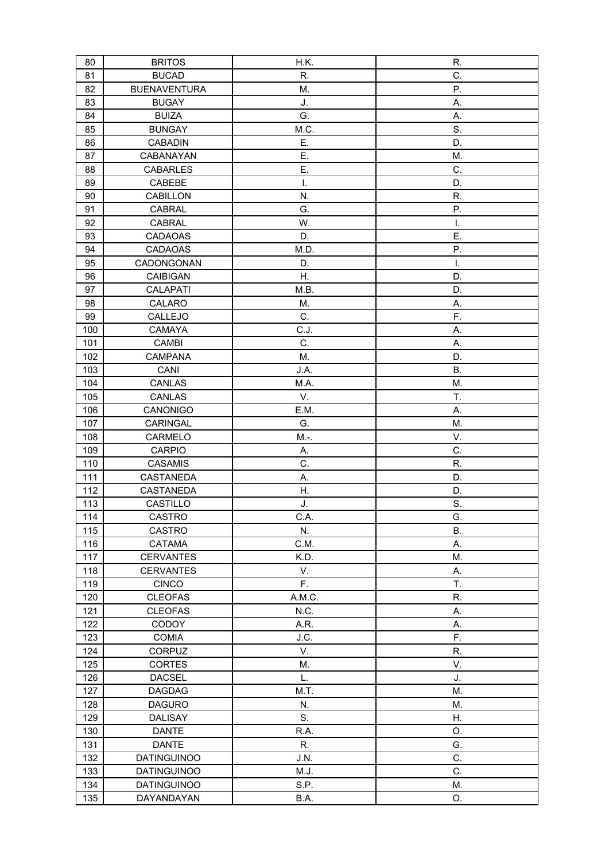| 80  | <b>BRITOS</b>       | H.K.   | R.        |
|-----|---------------------|--------|-----------|
| 81  | <b>BUCAD</b>        | R.     | C.        |
| 82  | <b>BUENAVENTURA</b> | M.     | Ρ.        |
| 83  | <b>BUGAY</b>        | J.     | А.        |
| 84  | <b>BUIZA</b>        | G.     | Α.        |
| 85  | <b>BUNGAY</b>       | M.C.   | S.        |
| 86  | <b>CABADIN</b>      | Ε.     | D.        |
| 87  | CABANAYAN           | Ε.     | M.        |
| 88  | <b>CABARLES</b>     | Ε.     | C.        |
| 89  | CABEBE              | I.     | D.        |
| 90  | CABILLON            | N.     | R.        |
| 91  | CABRAL              | G.     | Ρ.        |
| 92  | CABRAL              | W.     | Ι.        |
| 93  | <b>CADAOAS</b>      | D.     | Ε.        |
| 94  | <b>CADAOAS</b>      | M.D.   | P.        |
| 95  | CADONGONAN          | D.     | I.        |
| 96  | CAIBIGAN            | Η.     | D.        |
| 97  | CALAPATI            | M.B.   | D.        |
| 98  | CALARO              | M.     | Α.        |
| 99  | CALLEJO             | C.     | F.        |
| 100 | CAMAYA              | C.J.   | Α.        |
| 101 | <b>CAMBI</b>        | C.     | А.        |
| 102 | CAMPANA             | М.     | D.        |
| 103 | CANI                | J.A.   | <b>B.</b> |
| 104 | CANLAS              | M.A.   | M.        |
| 105 | CANLAS              | V.     | T.        |
| 106 | CANONIGO            | E.M.   | Α.        |
| 107 | CARINGAL            | G.     | M.        |
| 108 | CARMELO             | M.-.   | V.        |
| 109 | <b>CARPIO</b>       | Α.     | C.        |
| 110 | <b>CASAMIS</b>      | C.     | R.        |
| 111 | CASTANEDA           | Α.     | D.        |
| 112 | CASTANEDA           | Η.     | D.        |
| 113 | CASTILLO            | J.     | S.        |
| 114 | CASTRO              | C.A.   | G.        |
| 115 | <b>CASTRO</b>       | N.     | <b>B.</b> |
| 116 | CATAMA              | C.M.   | Α.        |
| 117 | <b>CERVANTES</b>    | K.D.   | M.        |
| 118 | <b>CERVANTES</b>    | V.     | А.        |
| 119 | <b>CINCO</b>        | F.     | T.        |
| 120 | <b>CLEOFAS</b>      | A.M.C. | R.        |
| 121 | <b>CLEOFAS</b>      | N.C.   | Α.        |
| 122 | CODOY               | A.R.   | Α.        |
| 123 | <b>COMIA</b>        | J.C.   | F.        |
| 124 | CORPUZ              | V.     | R.        |
| 125 | <b>CORTES</b>       | M.     | V.        |
| 126 | <b>DACSEL</b>       | L.     | J.        |
| 127 | <b>DAGDAG</b>       | M.T.   | M.        |
| 128 | <b>DAGURO</b>       | N.     | M.        |
| 129 | <b>DALISAY</b>      | S.     | Η.        |
| 130 | <b>DANTE</b>        | R.A.   | О.        |
| 131 | <b>DANTE</b>        | R.     | G.        |
| 132 | <b>DATINGUINOO</b>  | J.N.   | C.        |
| 133 | <b>DATINGUINOO</b>  | M.J.   | C.        |
| 134 | <b>DATINGUINOO</b>  | S.P.   | M.        |
| 135 | DAYANDAYAN          | B.A.   | О.        |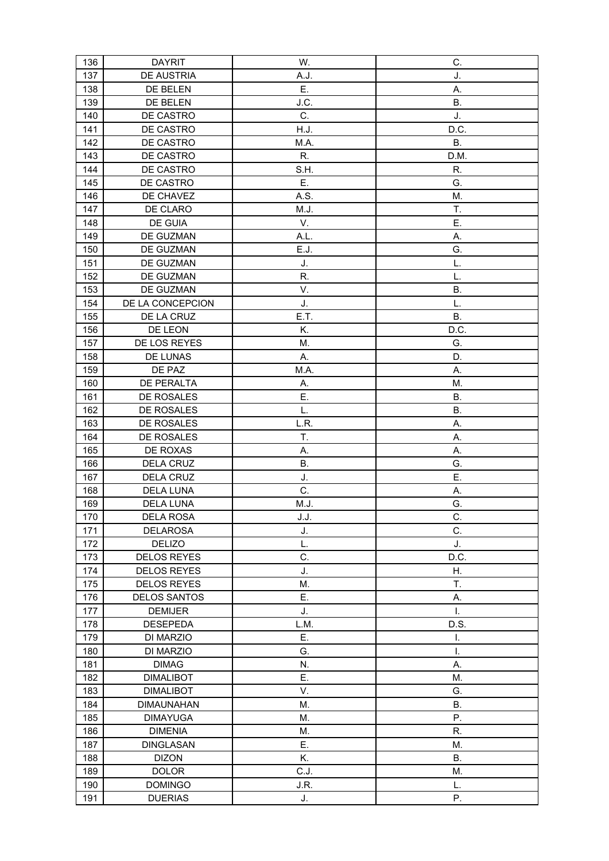| 136 | <b>DAYRIT</b>       | W.        | C.        |
|-----|---------------------|-----------|-----------|
| 137 | DE AUSTRIA          | A.J.      | J.        |
| 138 | DE BELEN            | Ε.        | А.        |
| 139 | DE BELEN            | J.C.      | В.        |
| 140 | DE CASTRO           | C.        | J.        |
| 141 | DE CASTRO           | H.J.      | D.C.      |
| 142 | DE CASTRO           | M.A.      | <b>B.</b> |
| 143 | DE CASTRO           | R.        | D.M.      |
| 144 | DE CASTRO           | S.H.      | R.        |
| 145 | DE CASTRO           | Ε.        | G.        |
| 146 | DE CHAVEZ           | A.S.      | М.        |
| 147 | DE CLARO            | M.J.      | T.        |
| 148 | DE GUIA             | V.        | Ε.        |
| 149 | DE GUZMAN           | A.L.      | Α.        |
| 150 | DE GUZMAN           | E.J.      | G.        |
| 151 | DE GUZMAN           | J.        | L.        |
| 152 | DE GUZMAN           | R.        | L.        |
| 153 | DE GUZMAN           | V.        | <b>B.</b> |
| 154 | DE LA CONCEPCION    | J.        | L.        |
| 155 | DE LA CRUZ          | E.T.      | <b>B.</b> |
| 156 | DE LEON             | Κ.        | D.C.      |
| 157 | DE LOS REYES        | М.        | G.        |
| 158 | DE LUNAS            | А.        | D.        |
| 159 | DE PAZ              | M.A.      | А.        |
| 160 | DE PERALTA          | А.        | M.        |
| 161 | DE ROSALES          | Ε.        | <b>B.</b> |
| 162 | DE ROSALES          | L.        | <b>B.</b> |
| 163 | DE ROSALES          | L.R.      | А.        |
| 164 | DE ROSALES          | T.        | А.        |
| 165 | DE ROXAS            | А.        | А.        |
| 166 | <b>DELA CRUZ</b>    | <b>B.</b> | G.        |
| 167 | <b>DELA CRUZ</b>    | J.        | Ε.        |
| 168 | <b>DELA LUNA</b>    | C.        | А.        |
| 169 | <b>DELA LUNA</b>    | M.J.      | G.        |
| 170 | <b>DELA ROSA</b>    | J.J.      | C.        |
| 171 | <b>DELAROSA</b>     | J.        | C.        |
| 172 | <b>DELIZO</b>       | L.        | J.        |
| 173 | <b>DELOS REYES</b>  | C.        | D.C.      |
| 174 | <b>DELOS REYES</b>  | J.        | Η.        |
| 175 | <b>DELOS REYES</b>  | М.        | T.        |
| 176 | <b>DELOS SANTOS</b> | Ε.        | Α.        |
| 177 | <b>DEMIJER</b>      | J.        | I.        |
| 178 | <b>DESEPEDA</b>     | L.M.      | D.S.      |
| 179 | DI MARZIO           | Ε.        | I.        |
| 180 | DI MARZIO           | G.        | Ι.        |
| 181 | <b>DIMAG</b>        | N.        | Α.        |
| 182 | <b>DIMALIBOT</b>    | Ε.        | М.        |
| 183 | <b>DIMALIBOT</b>    | V.        | G.        |
| 184 | <b>DIMAUNAHAN</b>   | Μ.        | <b>B.</b> |
| 185 | <b>DIMAYUGA</b>     | M.        | Ρ.        |
| 186 | <b>DIMENIA</b>      | М.        | R.        |
| 187 | <b>DINGLASAN</b>    | Ε.        | M.        |
| 188 | <b>DIZON</b>        | K.        | В.        |
| 189 | <b>DOLOR</b>        | C.J.      | M.        |
| 190 | <b>DOMINGO</b>      | J.R.      | L.        |
| 191 | <b>DUERIAS</b>      | J.        | Ρ.        |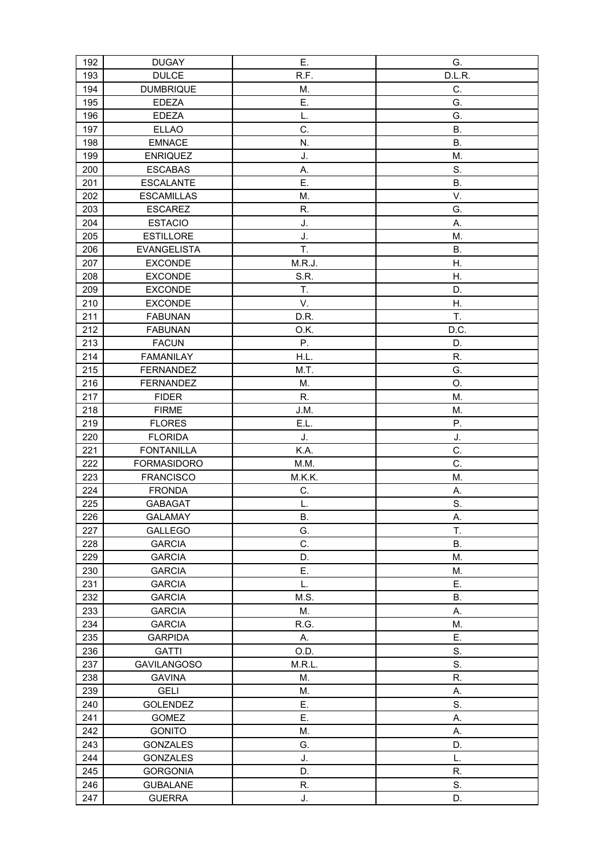| 192 | <b>DUGAY</b>       | Ε.     | G.        |
|-----|--------------------|--------|-----------|
| 193 | <b>DULCE</b>       | R.F.   | D.L.R.    |
| 194 | <b>DUMBRIQUE</b>   | M.     | C.        |
| 195 | <b>EDEZA</b>       | Ε.     | G.        |
| 196 | <b>EDEZA</b>       | L.     | G.        |
| 197 | <b>ELLAO</b>       | C.     | В.        |
| 198 | <b>EMNACE</b>      | N.     | <b>B.</b> |
| 199 | <b>ENRIQUEZ</b>    | J.     | M.        |
| 200 | <b>ESCABAS</b>     | А.     | S.        |
| 201 | <b>ESCALANTE</b>   | E.     | <b>B.</b> |
| 202 | <b>ESCAMILLAS</b>  | М.     | V.        |
| 203 | <b>ESCAREZ</b>     | R.     | G.        |
| 204 | <b>ESTACIO</b>     | J.     | Α.        |
| 205 | <b>ESTILLORE</b>   | J.     | M.        |
| 206 | <b>EVANGELISTA</b> | T.     | <b>B.</b> |
| 207 | <b>EXCONDE</b>     | M.R.J. | Η.        |
| 208 | <b>EXCONDE</b>     | S.R.   | Η.        |
| 209 | <b>EXCONDE</b>     | T.     | D.        |
| 210 | <b>EXCONDE</b>     | V.     | Η.        |
| 211 | <b>FABUNAN</b>     | D.R.   | T.        |
| 212 | <b>FABUNAN</b>     | O.K.   | D.C.      |
| 213 | <b>FACUN</b>       | Ρ.     | D.        |
| 214 | <b>FAMANILAY</b>   | H.L.   | R.        |
| 215 | <b>FERNANDEZ</b>   | M.T.   | G.        |
| 216 | <b>FERNANDEZ</b>   | Μ.     | O.        |
| 217 | <b>FIDER</b>       | R.     | M.        |
| 218 | <b>FIRME</b>       | J.M.   | M.        |
| 219 | <b>FLORES</b>      | E.L.   | Ρ.        |
| 220 | <b>FLORIDA</b>     | J.     | J.        |
| 221 | <b>FONTANILLA</b>  | K.A.   | C.        |
| 222 | <b>FORMASIDORO</b> | M.M.   | C.        |
| 223 | <b>FRANCISCO</b>   | M.K.K. | M.        |
| 224 | <b>FRONDA</b>      | C.     | А.        |
| 225 | <b>GABAGAT</b>     | L.     | S.        |
| 226 | GALAMAY            | Β.     | А.        |
| 227 | <b>GALLEGO</b>     | G.     | T.        |
| 228 | <b>GARCIA</b>      | C.     | <b>B.</b> |
| 229 | <b>GARCIA</b>      | D.     | Μ.        |
| 230 | <b>GARCIA</b>      | Ε.     | М.        |
| 231 | <b>GARCIA</b>      | L.     | Ε.        |
| 232 | <b>GARCIA</b>      | M.S.   | <b>B.</b> |
| 233 | <b>GARCIA</b>      | М.     | А.        |
| 234 | <b>GARCIA</b>      | R.G.   | M.        |
| 235 | <b>GARPIDA</b>     | А.     | Ε.        |
| 236 | <b>GATTI</b>       | O.D.   | S.        |
| 237 | <b>GAVILANGOSO</b> | M.R.L. | S.        |
| 238 | <b>GAVINA</b>      | M.     | R.        |
| 239 | <b>GELI</b>        | M.     | А.        |
| 240 | <b>GOLENDEZ</b>    | E.     | S.        |
| 241 | <b>GOMEZ</b>       | Ε.     | А.        |
| 242 | <b>GONITO</b>      | М.     | А.        |
| 243 | <b>GONZALES</b>    | G.     | D.        |
| 244 | <b>GONZALES</b>    | J.     | L.        |
| 245 | <b>GORGONIA</b>    | D.     | R.        |
| 246 | <b>GUBALANE</b>    | R.     | S.        |
|     |                    | J.     | D.        |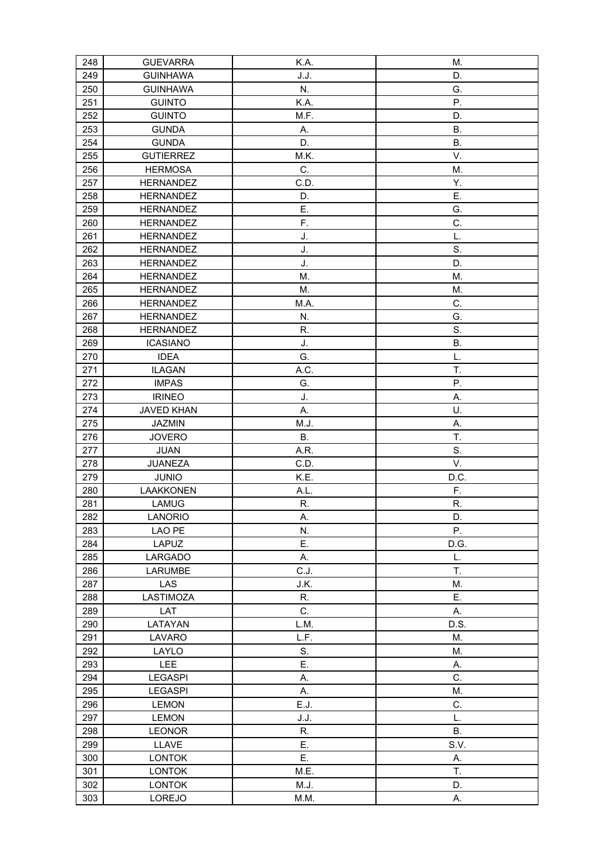| 248        | <b>GUEVARRA</b>                | K.A.         | M.        |
|------------|--------------------------------|--------------|-----------|
| 249        | <b>GUINHAWA</b>                | J.J.         | D.        |
| 250        | <b>GUINHAWA</b>                | N.           | G.        |
| 251        | <b>GUINTO</b>                  | K.A.         | P.        |
| 252        | <b>GUINTO</b>                  | M.F.         | D.        |
| 253        | <b>GUNDA</b>                   | А.           | <b>B.</b> |
| 254        | <b>GUNDA</b>                   | D.           | <b>B.</b> |
| 255        | <b>GUTIERREZ</b>               | M.K.         | V.        |
| 256        | <b>HERMOSA</b>                 | C.           | M.        |
| 257        | <b>HERNANDEZ</b>               | C.D.         | Υ.        |
| 258        | <b>HERNANDEZ</b>               | D.           | Ε.        |
| 259        | <b>HERNANDEZ</b>               | Ε.           | G.        |
| 260        | <b>HERNANDEZ</b>               | F.           | C.        |
| 261        | <b>HERNANDEZ</b>               | J.           | L.        |
| 262        | <b>HERNANDEZ</b>               | J.           | S.        |
| 263        | <b>HERNANDEZ</b>               | J.           | D.        |
| 264        | <b>HERNANDEZ</b>               | M.           | M.        |
| 265        | <b>HERNANDEZ</b>               | M.           | M.        |
| 266        | <b>HERNANDEZ</b>               | M.A.         | C.        |
| 267        | <b>HERNANDEZ</b>               | N.           | G.        |
| 268        | <b>HERNANDEZ</b>               | R.           | S.        |
| 269        | <b>ICASIANO</b>                | J.           | <b>B.</b> |
| 270        | <b>IDEA</b>                    | G.           | L.        |
| 271        | <b>ILAGAN</b>                  | A.C.         | T.        |
| 272        | <b>IMPAS</b>                   | G.           | Ρ.        |
| 273        | <b>IRINEO</b>                  | J.           | Α.        |
| 274        | <b>JAVED KHAN</b>              | А.           | U.        |
| 275        | <b>JAZMIN</b>                  | M.J.         | Α.        |
| 276        | <b>JOVERO</b>                  | <b>B.</b>    | T.        |
| 277        | JUAN                           | A.R.         | S.        |
| 278        | <b>JUANEZA</b>                 | C.D.         | V.        |
| 279        | <b>JUNIO</b>                   | K.E.         | D.C.      |
| 280        | LAAKKONEN                      | A.L.         | F.        |
| 281        | LAMUG                          | R.           | R.        |
| 282        | LANORIO                        | А.           | D.        |
| 283        | LAO PE                         | N.           | Ρ.        |
| 284        | <b>LAPUZ</b>                   | Ε.           | D.G.      |
| 285        | LARGADO                        | А.           | L.        |
| 286        | <b>LARUMBE</b>                 | C.J.         | T.        |
| 287        | LAS                            | J.K.         |           |
|            |                                |              | M.        |
|            |                                |              |           |
| 288        | LASTIMOZA                      | R.           | Ε.        |
| 289        | LAT                            | C.           | А.        |
| 290        | LATAYAN                        | L.M.         | D.S.      |
| 291        | LAVARO                         | L.F.         | М.        |
| 292        | LAYLO                          | S.           | M.        |
| 293        | <b>LEE</b>                     | Ε.           | Α.        |
| 294        | <b>LEGASPI</b>                 | А.           | C.        |
| 295        | <b>LEGASPI</b>                 | А.           | M.        |
| 296        | <b>LEMON</b>                   | E.J.         | C.<br>L.  |
| 297        | <b>LEMON</b>                   | J.J.         |           |
| 298        | <b>LEONOR</b>                  | R.           | <b>B.</b> |
| 299        | LLAVE                          | Ε.           | S.V.      |
| 300        | <b>LONTOK</b>                  | Ε.           | А.        |
| 301        | <b>LONTOK</b>                  | M.E.         | T.        |
| 302<br>303 | <b>LONTOK</b><br><b>LOREJO</b> | M.J.<br>M.M. | D.<br>А.  |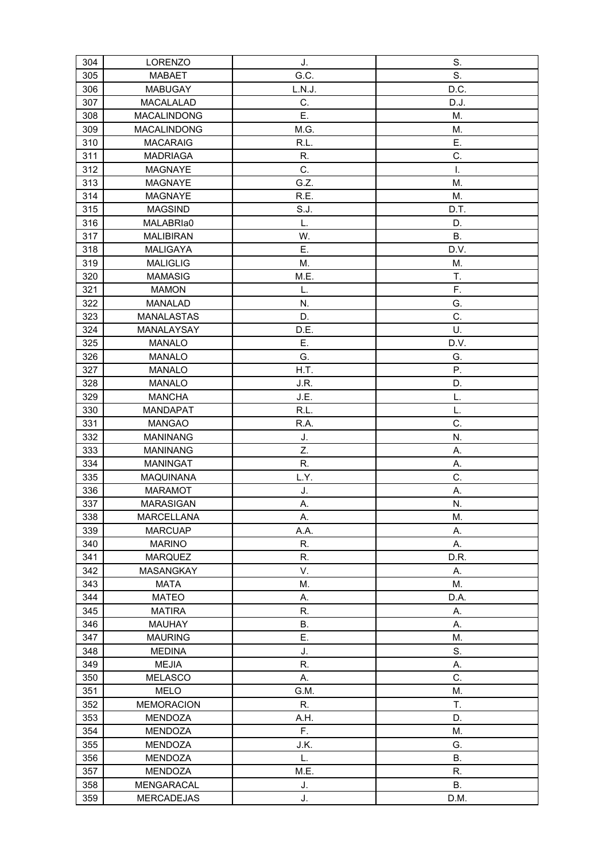| 304 | LORENZO            | J.     | S.        |
|-----|--------------------|--------|-----------|
| 305 | <b>MABAET</b>      | G.C.   | S.        |
| 306 | <b>MABUGAY</b>     | L.N.J. | D.C.      |
| 307 | MACALALAD          | C.     | D.J.      |
| 308 | <b>MACALINDONG</b> | Ε.     | М.        |
| 309 | MACALINDONG        | M.G.   | M.        |
| 310 | <b>MACARAIG</b>    | R.L.   | Ε.        |
| 311 | <b>MADRIAGA</b>    | R.     | C.        |
| 312 | <b>MAGNAYE</b>     | C.     | I.        |
| 313 | MAGNAYE            | G.Z.   | M.        |
| 314 | MAGNAYE            | R.E.   | M.        |
| 315 | <b>MAGSIND</b>     | S.J.   | D.T.      |
| 316 | MALABRIa0          | L.     | D.        |
| 317 | <b>MALIBIRAN</b>   | W.     | <b>B.</b> |
| 318 | MALIGAYA           | Ε.     | D.V.      |
| 319 | <b>MALIGLIG</b>    | М.     | М.        |
| 320 | <b>MAMASIG</b>     | M.E.   | T.        |
| 321 | <b>MAMON</b>       | L.     | F.        |
| 322 | <b>MANALAD</b>     | N.     | G.        |
| 323 | <b>MANALASTAS</b>  | D.     | C.        |
| 324 | MANALAYSAY         | D.E.   | U.        |
| 325 | <b>MANALO</b>      | Ε.     | D.V.      |
| 326 | <b>MANALO</b>      | G.     | G.        |
| 327 | <b>MANALO</b>      | H.T.   | Ρ.        |
| 328 | <b>MANALO</b>      | J.R.   | D.        |
| 329 | <b>MANCHA</b>      | J.E.   | L.        |
| 330 | <b>MANDAPAT</b>    | R.L.   | L.        |
| 331 | <b>MANGAO</b>      | R.A.   | C.        |
| 332 | <b>MANINANG</b>    | J.     | N.        |
| 333 | <b>MANINANG</b>    | Z.     | Α.        |
| 334 | <b>MANINGAT</b>    | R.     | Α.        |
| 335 | MAQUINANA          | L.Y.   | C.        |
| 336 | <b>MARAMOT</b>     | J.     | А.        |
| 337 | <b>MARASIGAN</b>   | А.     | N.        |
| 338 | <b>MARCELLANA</b>  | А.     | М.        |
| 339 | <b>MARCUAP</b>     | A.A.   | Α.        |
| 340 | <b>MARINO</b>      | R.     | А.        |
| 341 | <b>MARQUEZ</b>     | R.     | D.R.      |
| 342 | MASANGKAY          | V.     | А.        |
| 343 | <b>MATA</b>        | М.     | M.        |
| 344 | <b>MATEO</b>       | А.     | D.A.      |
| 345 | <b>MATIRA</b>      | R.     | А.        |
| 346 | <b>MAUHAY</b>      | В.     | А.        |
| 347 | <b>MAURING</b>     | Ε.     | М.        |
| 348 | <b>MEDINA</b>      | J.     | S.        |
| 349 | <b>MEJIA</b>       | R.     | А.        |
| 350 | <b>MELASCO</b>     | А.     | C.        |
| 351 | <b>MELO</b>        | G.M.   | M.        |
| 352 | <b>MEMORACION</b>  | R.     | T.        |
| 353 | <b>MENDOZA</b>     | A.H.   | D.        |
| 354 | <b>MENDOZA</b>     | F.     | M.        |
| 355 | <b>MENDOZA</b>     | J.K.   | G.        |
| 356 | MENDOZA            | L.     | В.        |
| 357 | MENDOZA            | M.E.   | R.        |
| 358 | MENGARACAL         | J.     | <b>B.</b> |
| 359 | <b>MERCADEJAS</b>  | J.     | D.M.      |
|     |                    |        |           |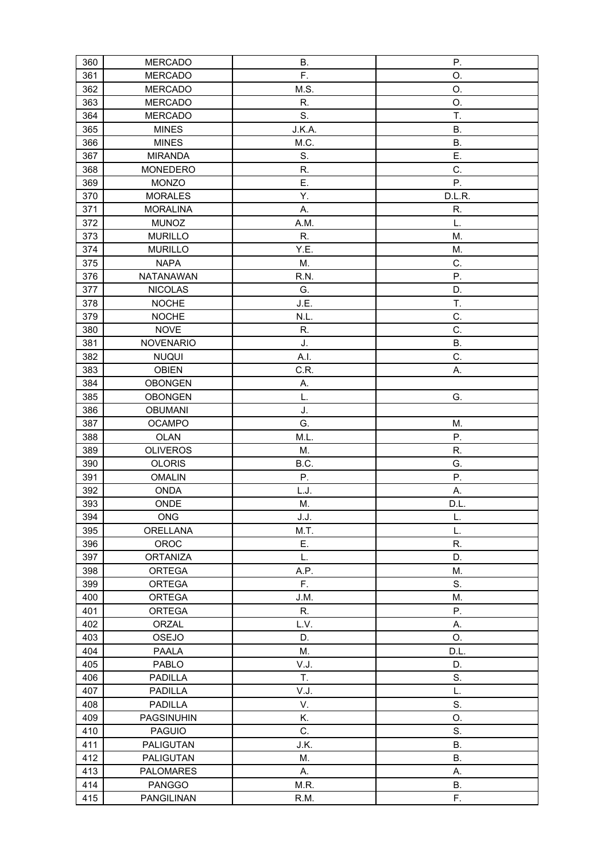| 360 | <b>MERCADO</b>   | В.     | Ρ.        |
|-----|------------------|--------|-----------|
| 361 | <b>MERCADO</b>   | F.     | O.        |
| 362 | <b>MERCADO</b>   | M.S.   | О.        |
| 363 | <b>MERCADO</b>   | R.     | O.        |
| 364 | <b>MERCADO</b>   | S.     | T.        |
| 365 | <b>MINES</b>     | J.K.A. | <b>B.</b> |
| 366 | <b>MINES</b>     | M.C.   | <b>B.</b> |
| 367 | <b>MIRANDA</b>   | S.     | Ē.        |
| 368 | <b>MONEDERO</b>  | R.     | C.        |
| 369 | <b>MONZO</b>     | E.     | P.        |
| 370 | <b>MORALES</b>   | Υ.     | D.L.R.    |
| 371 | <b>MORALINA</b>  | А.     | R.        |
| 372 | <b>MUNOZ</b>     | A.M.   | L.        |
| 373 | <b>MURILLO</b>   | R.     | M.        |
| 374 |                  | Y.E.   |           |
|     | <b>MURILLO</b>   |        | M.        |
| 375 | <b>NAPA</b>      | M.     | C.        |
| 376 | NATANAWAN        | R.N.   | P.        |
| 377 | <b>NICOLAS</b>   | G.     | D.        |
| 378 | <b>NOCHE</b>     | J.E.   | T.        |
| 379 | <b>NOCHE</b>     | N.L.   | C.        |
| 380 | <b>NOVE</b>      | R.     | C.        |
| 381 | <b>NOVENARIO</b> | J.     | <b>B.</b> |
| 382 | <b>NUQUI</b>     | A.I.   | C.        |
| 383 | <b>OBIEN</b>     | C.R.   | Α.        |
| 384 | <b>OBONGEN</b>   | А.     |           |
| 385 | <b>OBONGEN</b>   | L.     | G.        |
| 386 | <b>OBUMANI</b>   | J.     |           |
| 387 | <b>OCAMPO</b>    | G.     | М.        |
| 388 | <b>OLAN</b>      | M.L.   | Ρ.        |
| 389 | <b>OLIVEROS</b>  | M.     | R.        |
| 390 | <b>OLORIS</b>    | B.C.   | G.        |
| 391 | <b>OMALIN</b>    | Ρ.     | P.        |
| 392 | <b>ONDA</b>      | L.J.   | А.        |
| 393 | ONDE             | M.     | D.L.      |
| 394 | <b>ONG</b>       | J.J.   | L.        |
| 395 | ORELLANA         | M.T.   | L.        |
| 396 | OROC             | Ε.     | R.        |
| 397 | <b>ORTANIZA</b>  | L.     | D.        |
| 398 | <b>ORTEGA</b>    | A.P.   | М.        |
| 399 | <b>ORTEGA</b>    | F.     | S.        |
| 400 | <b>ORTEGA</b>    | J.M.   | M.        |
| 401 | <b>ORTEGA</b>    | R.     | Ρ.        |
| 402 | <b>ORZAL</b>     | L.V.   | А.        |
| 403 | OSEJO            | D.     | O.        |
| 404 | <b>PAALA</b>     | Μ.     | D.L.      |
| 405 | PABLO            | V.J.   | D.        |
| 406 | <b>PADILLA</b>   | T.     | S.        |
| 407 | <b>PADILLA</b>   | V.J.   | L.        |
| 408 | <b>PADILLA</b>   | V.     | S.        |
| 409 | PAGSINUHIN       | K.     | O.        |
| 410 | <b>PAGUIO</b>    | C.     | S.        |
| 411 | PALIGUTAN        | J.K.   | <b>B.</b> |
| 412 | PALIGUTAN        | М.     | В.        |
| 413 | <b>PALOMARES</b> | А.     | Α.        |
| 414 | <b>PANGGO</b>    | M.R.   | <b>B.</b> |
| 415 | PANGILINAN       | R.M.   | F.        |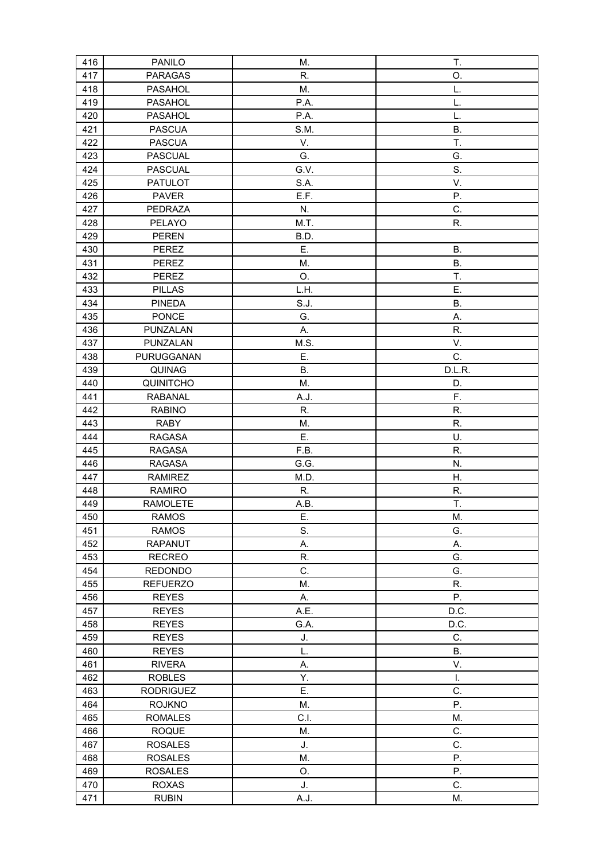| 416        | <b>PANILO</b>                | М.         | T.        |
|------------|------------------------------|------------|-----------|
| 417        | <b>PARAGAS</b>               | R.         | O.        |
| 418        | PASAHOL                      | М.         | L.        |
| 419        | PASAHOL                      | P.A.       | L.        |
| 420        | PASAHOL                      | P.A.       | L.        |
| 421        | <b>PASCUA</b>                | S.M.       | Β.        |
| 422        | <b>PASCUA</b>                | V.         | T.        |
| 423        | <b>PASCUAL</b>               | G.         | G.        |
| 424        | <b>PASCUAL</b>               | G.V.       | S.        |
| 425        | PATULOT                      | S.A.       | V.        |
| 426        | <b>PAVER</b>                 | E.F.       | Ρ.        |
| 427        | PEDRAZA                      | N.         | C.        |
| 428        | PELAYO                       | M.T.       | R.        |
| 429        | <b>PEREN</b>                 | B.D.       |           |
|            |                              | Ε.         | <b>B.</b> |
| 430        | <b>PEREZ</b>                 |            |           |
| 431        | <b>PEREZ</b>                 | M.         | Β.        |
| 432        | <b>PEREZ</b>                 | O.         | T.        |
| 433        | <b>PILLAS</b>                | L.H.       | Ε.        |
| 434        | <b>PINEDA</b>                | S.J.       | <b>B.</b> |
| 435        | <b>PONCE</b>                 | G.         | Α.        |
| 436        | PUNZALAN                     | А.         | R.        |
| 437        | PUNZALAN                     | M.S.       | V.        |
| 438        | PURUGGANAN                   | Ε.         | C.        |
| 439        | QUINAG                       | <b>B.</b>  | D.L.R.    |
| 440        | QUINITCHO                    | Μ.         | D.        |
| 441        | <b>RABANAL</b>               | A.J.       | F.        |
| 442        | <b>RABINO</b>                | R.         | R.        |
| 443        | <b>RABY</b>                  | М.         | R.        |
| 444        | <b>RAGASA</b>                | Ε.         | U.        |
| 445        | <b>RAGASA</b>                | F.B.       | R.        |
| 446        | <b>RAGASA</b>                | G.G.       | N.        |
| 447        | RAMIREZ                      | M.D.       | Η.        |
| 448        | <b>RAMIRO</b>                | R.         | R.        |
| 449        | <b>RAMOLETE</b>              | A.B.       | T.        |
| 450        | <b>RAMOS</b>                 | Ε.         | М.        |
| 451        | <b>RAMOS</b>                 | S.         | G.        |
| 452        | <b>RAPANUT</b>               | А.         | Α.        |
| 453        | <b>RECREO</b>                | R.         | G.        |
| 454        | <b>REDONDO</b>               | C.         | G.        |
| 455        | <b>REFUERZO</b>              | M.         | R.        |
| 456        | <b>REYES</b>                 | А.         | Ρ.        |
| 457        | <b>REYES</b>                 | A.E.       | D.C.      |
| 458        | <b>REYES</b>                 | G.A.       | D.C.      |
| 459        |                              |            |           |
| 460        | <b>REYES</b>                 | J.         | C.        |
|            | <b>REYES</b>                 | L.         | <b>B.</b> |
| 461        | <b>RIVERA</b>                | А.         | V.        |
| 462        | <b>ROBLES</b>                | Υ.         | I.        |
| 463        | <b>RODRIGUEZ</b>             | Ε.         | C.        |
| 464        | <b>ROJKNO</b>                | M.         | Ρ.        |
| 465        | <b>ROMALES</b>               | C.I.       | М.        |
| 466        | <b>ROQUE</b>                 | M.         | C.        |
| 467        | <b>ROSALES</b>               | J.         | C.        |
| 468        | <b>ROSALES</b>               | М.         | Ρ.        |
| 469        | <b>ROSALES</b>               | Ο.         | Ρ.        |
| 470<br>471 | <b>ROXAS</b><br><b>RUBIN</b> | J.<br>A.J. | C.<br>М.  |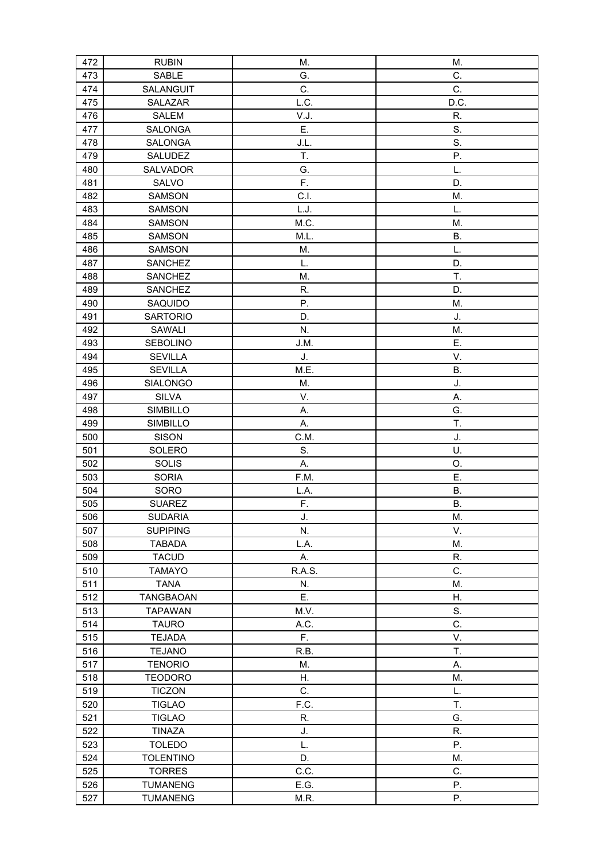| 472 | <b>RUBIN</b>     | M.     | М.        |
|-----|------------------|--------|-----------|
| 473 | <b>SABLE</b>     | G.     | C.        |
| 474 | SALANGUIT        | C.     | C.        |
| 475 | SALAZAR          | L.C.   | D.C.      |
| 476 | <b>SALEM</b>     | V.J.   | R.        |
| 477 | <b>SALONGA</b>   | Ε.     | S.        |
| 478 | SALONGA          | J.L.   | S.        |
| 479 | SALUDEZ          | T.     | Ρ.        |
| 480 | SALVADOR         | G.     | L.        |
| 481 | SALVO            | F.     | D.        |
| 482 | <b>SAMSON</b>    | C.I.   | M.        |
| 483 | SAMSON           | L.J.   | L.        |
| 484 | SAMSON           | M.C.   | M.        |
| 485 | SAMSON           | M.L.   | <b>B.</b> |
| 486 | <b>SAMSON</b>    | М.     | L.        |
| 487 | SANCHEZ          | L.     | D.        |
| 488 | <b>SANCHEZ</b>   | M.     | T.        |
| 489 | <b>SANCHEZ</b>   | R.     | D.        |
| 490 | SAQUIDO          | Ρ.     | M.        |
| 491 | <b>SARTORIO</b>  | D.     | J.        |
| 492 | SAWALI           | N.     | M.        |
| 493 | SEBOLINO         | J.M.   | E.        |
| 494 | <b>SEVILLA</b>   | J.     | V.        |
| 495 | <b>SEVILLA</b>   | M.E.   | <b>B.</b> |
| 496 | SIALONGO         | Μ.     | J.        |
| 497 | <b>SILVA</b>     | V.     | Α.        |
| 498 | SIMBILLO         | А.     | G.        |
| 499 | <b>SIMBILLO</b>  | А.     | T.        |
| 500 | <b>SISON</b>     | C.M.   | J.        |
| 501 | SOLERO           | S.     | U.        |
| 502 | <b>SOLIS</b>     | А.     | O.        |
| 503 | <b>SORIA</b>     | F.M.   | E.        |
| 504 | <b>SORO</b>      | L.A.   | Β.        |
| 505 | <b>SUAREZ</b>    | F.     | В.        |
| 506 | <b>SUDARIA</b>   | J.     | М.        |
| 507 | <b>SUPIPING</b>  | N.     | V.        |
| 508 | <b>TABADA</b>    | L.A.   | M.        |
| 509 | <b>TACUD</b>     | А.     | R.        |
| 510 | <b>TAMAYO</b>    | R.A.S. | C.        |
| 511 | <b>TANA</b>      | N.     | M.        |
| 512 | <b>TANGBAOAN</b> | Ε.     | Η.        |
| 513 | <b>TAPAWAN</b>   | M.V.   | S.        |
| 514 | <b>TAURO</b>     | A.C.   | C.        |
| 515 | <b>TEJADA</b>    | F.     | V.        |
| 516 | <b>TEJANO</b>    | R.B.   | T.        |
| 517 | <b>TENORIO</b>   | M.     | Α.        |
| 518 | <b>TEODORO</b>   | Η.     | M.        |
| 519 | <b>TICZON</b>    | C.     | L.        |
| 520 | <b>TIGLAO</b>    | F.C.   | T.        |
| 521 | <b>TIGLAO</b>    | R.     | G.        |
| 522 | TINAZA           | J.     | R.        |
| 523 | <b>TOLEDO</b>    | L.     | Ρ.        |
| 524 | <b>TOLENTINO</b> | D.     | M.        |
| 525 | <b>TORRES</b>    | C.C.   | C.        |
| 526 | <b>TUMANENG</b>  | E.G.   | Ρ.        |
| 527 | <b>TUMANENG</b>  | M.R.   | Ρ.        |